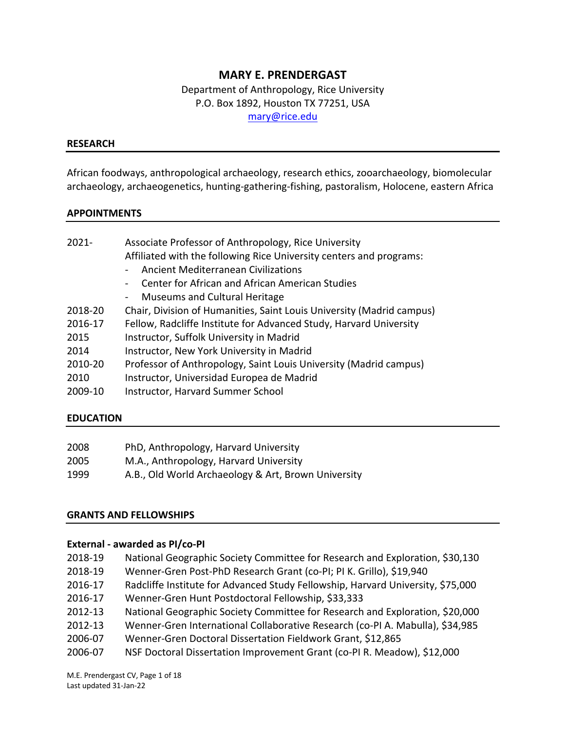# **MARY E. PRENDERGAST**

 Department of Anthropology, Rice University P.O. Box 1892, Houston TX 77251, USA [mary@rice.edu](mailto:mary@rice.edu)

#### **RESEARCH**

 African foodways, anthropological archaeology, research ethics, zooarchaeology, biomolecular archaeology, archaeogenetics, hunting-gathering-fishing, pastoralism, Holocene, eastern Africa

## **APPOINTMENTS**

| 2021-   | Associate Professor of Anthropology, Rice University<br>Affiliated with the following Rice University centers and programs:<br>Ancient Mediterranean Civilizations<br>Center for African and African American Studies<br>Museums and Cultural Heritage<br>$\overline{\phantom{0}}$ |
|---------|------------------------------------------------------------------------------------------------------------------------------------------------------------------------------------------------------------------------------------------------------------------------------------|
| 2018-20 | Chair, Division of Humanities, Saint Louis University (Madrid campus)                                                                                                                                                                                                              |
| 2016-17 | Fellow, Radcliffe Institute for Advanced Study, Harvard University                                                                                                                                                                                                                 |
| 2015    | Instructor, Suffolk University in Madrid                                                                                                                                                                                                                                           |
| 2014    | Instructor, New York University in Madrid                                                                                                                                                                                                                                          |
| 2010-20 | Professor of Anthropology, Saint Louis University (Madrid campus)                                                                                                                                                                                                                  |
| 2010    | Instructor, Universidad Europea de Madrid                                                                                                                                                                                                                                          |
| 2009-10 | Instructor, Harvard Summer School                                                                                                                                                                                                                                                  |

### **EDUCATION**

| 2008 | PhD, Anthropology, Harvard University               |
|------|-----------------------------------------------------|
| 2005 | M.A., Anthropology, Harvard University              |
| 1999 | A.B., Old World Archaeology & Art, Brown University |

## **GRANTS AND FELLOWSHIPS**

### **External - awarded as PI/co-PI**

| 2018-19 | National Geographic Society Committee for Research and Exploration, \$30,130    |
|---------|---------------------------------------------------------------------------------|
| 2018-19 | Wenner-Gren Post-PhD Research Grant (co-PI; PI K. Grillo), \$19,940             |
| 2016-17 | Radcliffe Institute for Advanced Study Fellowship, Harvard University, \$75,000 |
| 2016-17 | Wenner-Gren Hunt Postdoctoral Fellowship, \$33,333                              |
| 2012-13 | National Geographic Society Committee for Research and Exploration, \$20,000    |
| 2012-13 | Wenner-Gren International Collaborative Research (co-PI A. Mabulla), \$34,985   |
| 2006-07 | Wenner-Gren Doctoral Dissertation Fieldwork Grant, \$12,865                     |
| 2006-07 | NSF Doctoral Dissertation Improvement Grant (co-PI R. Meadow), \$12,000         |
|         |                                                                                 |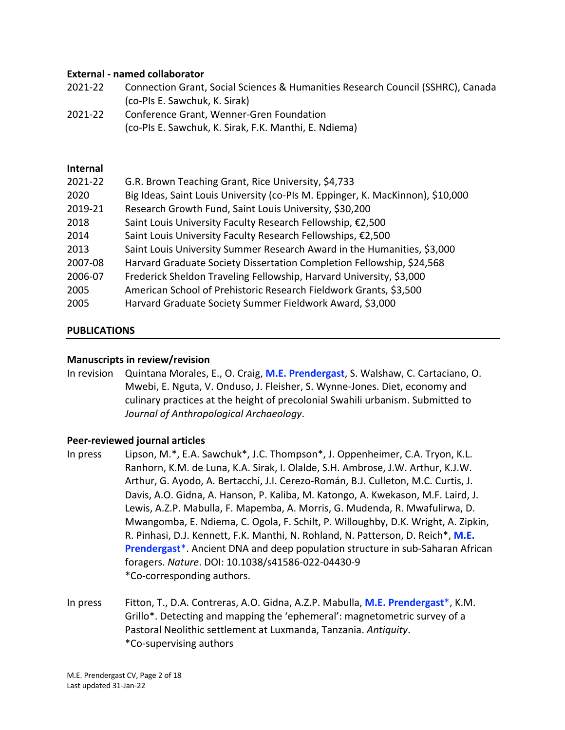# **External - named collaborator**

| 2021-22 | Connection Grant, Social Sciences & Humanities Research Council (SSHRC), Canada |
|---------|---------------------------------------------------------------------------------|
|         | (co-PIs E. Sawchuk, K. Sirak)                                                   |

 2021-22 Conference Grant, Wenner-Gren Foundation (co-PIs E. Sawchuk, K. Sirak, F.K. Manthi, E. Ndiema)

### **Internal**

| 2021-22 | G.R. Brown Teaching Grant, Rice University, \$4,733                            |
|---------|--------------------------------------------------------------------------------|
| 2020    | Big Ideas, Saint Louis University (co-PIs M. Eppinger, K. MacKinnon), \$10,000 |
| 2019-21 | Research Growth Fund, Saint Louis University, \$30,200                         |
| 2018    | Saint Louis University Faculty Research Fellowship, €2,500                     |
| 2014    | Saint Louis University Faculty Research Fellowships, €2,500                    |
| 2013    | Saint Louis University Summer Research Award in the Humanities, \$3,000        |
| 2007-08 | Harvard Graduate Society Dissertation Completion Fellowship, \$24,568          |
| 2006-07 | Frederick Sheldon Traveling Fellowship, Harvard University, \$3,000            |
| 2005    | American School of Prehistoric Research Fieldwork Grants, \$3,500              |
| 2005    | Harvard Graduate Society Summer Fieldwork Award, \$3,000                       |

### **PUBLICATIONS**

## **Manuscripts in review/revision**

 In revision Quintana Morales, E., O. Craig, **M.E. Prendergast**, S. Walshaw, C. Cartaciano, O. Mwebi, E. Nguta, V. Onduso, J. Fleisher, S. Wynne-Jones. Diet, economy and culinary practices at the height of precolonial Swahili urbanism. Submitted to  *Journal of Anthropological Archaeology*.

### **Peer-reviewed journal articles**

- In press Ranhorn, K.M. de Luna, K.A. Sirak, I. Olalde, S.H. Ambrose, J.W. Arthur, K.J.W. Arthur, G. Ayodo, A. Bertacchi, J.I. Cerezo-Román, B.J. Culleton, M.C. Curtis, J. Davis, A.O. Gidna, A. Hanson, P. Kaliba, M. Katongo, A. Kwekason, M.F. Laird, J. Lewis, A.Z.P. Mabulla, F. Mapemba, A. Morris, G. Mudenda, R. Mwafulirwa, D. Mwangomba, E. Ndiema, C. Ogola, F. Schilt, P. Willoughby, D.K. Wright, A. Zipkin, R. Pinhasi, D.J. Kennett, F.K. Manthi, N. Rohland, N. Patterson, D. Reich\*, **M.E. Prendergast**\*. Ancient DNA and deep population structure in sub-Saharan African foragers. *Nature*. DOI: 10.1038/s41586-022-04430-9 Lipson, M.\*, E.A. Sawchuk\*, J.C. Thompson\*, J. Oppenheimer, C.A. Tryon, K.L. \*Co-corresponding authors.
- In press In press Fitton, T., D.A. Contreras, A.O. Gidna, A.Z.P. Mabulla, **M.E. Prendergast**\*, K.M. Grillo\*. Detecting and mapping the 'ephemeral': magnetometric survey of a Pastoral Neolithic settlement at Luxmanda, Tanzania. *Antiquity*. \*Co-supervising authors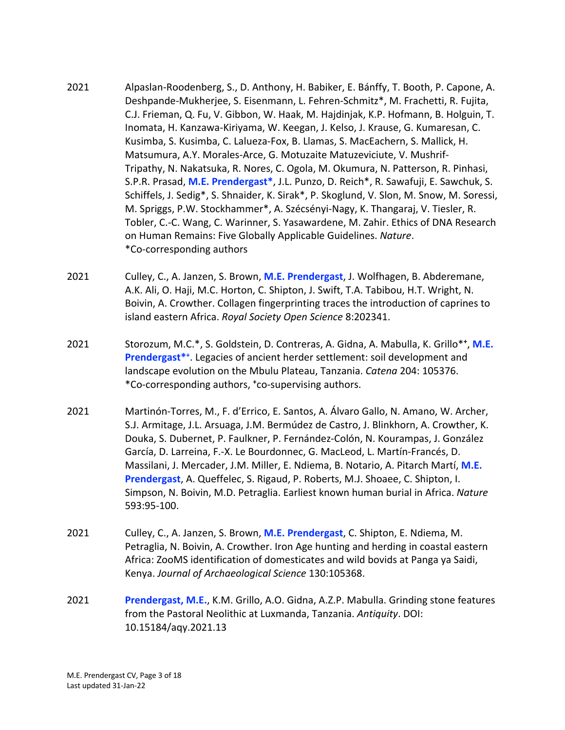- 2021 Deshpande-Mukherjee, S. Eisenmann, L. Fehren-Schmitz\*, M. Frachetti, R. Fujita, \*Co-corresponding authors Alpaslan-Roodenberg, S., D. Anthony, H. Babiker, E. Bánffy, T. Booth, P. Capone, A. C.J. Frieman, Q. Fu, V. Gibbon, W. Haak, M. Hajdinjak, K.P. Hofmann, B. Holguin, T. Inomata, H. Kanzawa-Kiriyama, W. Keegan, J. Kelso, J. Krause, G. Kumaresan, C. Kusimba, S. Kusimba, C. Lalueza-Fox, B. Llamas, S. MacEachern, S. Mallick, H. Matsumura, A.Y. Morales-Arce, G. Motuzaite Matuzeviciute, V. Mushrif-Tripathy, N. Nakatsuka, R. Nores, C. Ogola, M. Okumura, N. Patterson, R. Pinhasi, S.P.R. Prasad, **M.E. Prendergast\***, J.L. Punzo, D. Reich\*, R. Sawafuji, E. Sawchuk, S. Schiffels, J. Sedig\*, S. Shnaider, K. Sirak\*, P. Skoglund, V. Slon, M. Snow, M. Soressi, M. Spriggs, P.W. Stockhammer\*, A. Szécsényi-Nagy, K. Thangaraj, V. Tiesler, R. Tobler, C.-C. Wang, C. Warinner, S. Yasawardene, M. Zahir. Ethics of DNA Research on Human Remains: Five Globally Applicable Guidelines. *Nature*.
- 2021 A.K. Ali, O. Haji, M.C. Horton, C. Shipton, J. Swift, T.A. Tabibou, H.T. Wright, N. Boivin, A. Crowther. Collagen fingerprinting traces the introduction of caprines to island eastern Africa. *Royal Society Open Science* 8:202341. 2021 Culley, C., A. Janzen, S. Brown, **M.E. Prendergast**, J. Wolfhagen, B. Abderemane,
- 2021 Prendergast<sup>\*+</sup>. Legacies of ancient herder settlement: soil development and landscape evolution on the Mbulu Plateau, Tanzania. *Catena* 204: 105376. \*Co-corresponding authors, **<sup>+</sup>** co-supervising authors. 2021 Storozum, M.C.\*, S. Goldstein, D. Contreras, A. Gidna, A. Mabulla, K. Grillo\***<sup>+</sup>** , **M.E.**
- 2021 Massilani, J. Mercader, J.M. Miller, E. Ndiema, B. Notario, A. Pitarch Martí, **M.E. Prendergast**, A. Queffelec, S. Rigaud, P. Roberts, M.J. Shoaee, C. Shipton, I. Simpson, N. Boivin, M.D. Petraglia. Earliest known human burial in Africa. *Nature*  2021 Martinón-Torres, M., F. d'Errico, E. Santos, A. Álvaro Gallo, N. Amano, W. Archer, S.J. Armitage, J.L. Arsuaga, J.M. Bermúdez de Castro, J. Blinkhorn, A. Crowther, K. Douka, S. Dubernet, P. Faulkner, P. Fernández-Colón, N. Kourampas, J. González García, D. Larreina, F.-X. Le Bourdonnec, G. MacLeod, L. Martín-Francés, D. 593:95-100.
- 2021 2021 Culley, C., A. Janzen, S. Brown, **M.E. Prendergast**, C. Shipton, E. Ndiema, M. Petraglia, N. Boivin, A. Crowther. Iron Age hunting and herding in coastal eastern Africa: ZooMS identification of domesticates and wild bovids at Panga ya Saidi, Kenya. *Journal of Archaeological Science* 130:105368.
- 2021 from the Pastoral Neolithic at Luxmanda, Tanzania. *Antiquity*. DOI: 2021 **Prendergast, M.E.**, K.M. Grillo, A.O. Gidna, A.Z.P. Mabulla. Grinding stone features [10.15184/aqy.2021.13](https://10.15184/aqy.2021.13)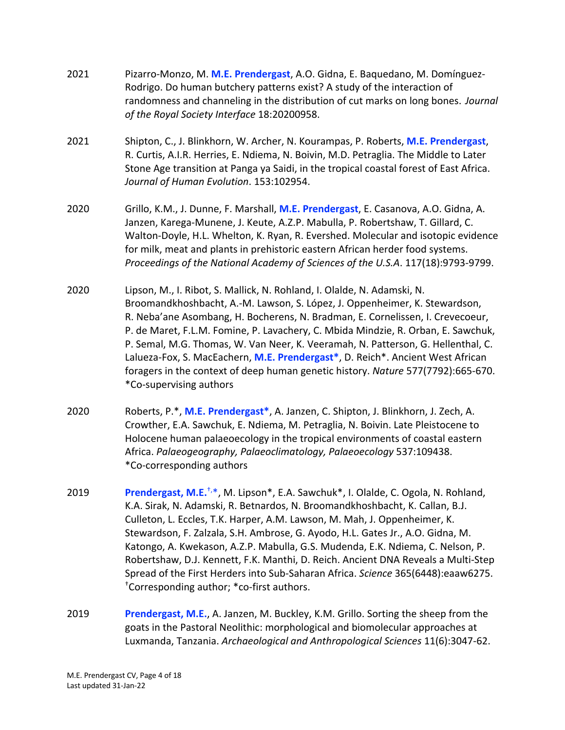| 2021 | Pizarro-Monzo, M. M.E. Prendergast, A.O. Gidna, E. Baquedano, M. Domínguez-<br>Rodrigo. Do human butchery patterns exist? A study of the interaction of<br>randomness and channeling in the distribution of cut marks on long bones. Journal<br>of the Royal Society Interface 18:20200958.                                                                                                                                                                                                                                                                                                                                                                                                  |
|------|----------------------------------------------------------------------------------------------------------------------------------------------------------------------------------------------------------------------------------------------------------------------------------------------------------------------------------------------------------------------------------------------------------------------------------------------------------------------------------------------------------------------------------------------------------------------------------------------------------------------------------------------------------------------------------------------|
| 2021 | Shipton, C., J. Blinkhorn, W. Archer, N. Kourampas, P. Roberts, M.E. Prendergast,<br>R. Curtis, A.I.R. Herries, E. Ndiema, N. Boivin, M.D. Petraglia. The Middle to Later<br>Stone Age transition at Panga ya Saidi, in the tropical coastal forest of East Africa.<br>Journal of Human Evolution. 153:102954.                                                                                                                                                                                                                                                                                                                                                                               |
| 2020 | Grillo, K.M., J. Dunne, F. Marshall, M.E. Prendergast, E. Casanova, A.O. Gidna, A.<br>Janzen, Karega-Munene, J. Keute, A.Z.P. Mabulla, P. Robertshaw, T. Gillard, C.<br>Walton-Doyle, H.L. Whelton, K. Ryan, R. Evershed. Molecular and isotopic evidence<br>for milk, meat and plants in prehistoric eastern African herder food systems.<br>Proceedings of the National Academy of Sciences of the U.S.A. 117(18):9793-9799.                                                                                                                                                                                                                                                               |
| 2020 | Lipson, M., I. Ribot, S. Mallick, N. Rohland, I. Olalde, N. Adamski, N.<br>Broomandkhoshbacht, A.-M. Lawson, S. López, J. Oppenheimer, K. Stewardson,<br>R. Neba'ane Asombang, H. Bocherens, N. Bradman, E. Cornelissen, I. Crevecoeur,<br>P. de Maret, F.L.M. Fomine, P. Lavachery, C. Mbida Mindzie, R. Orban, E. Sawchuk,<br>P. Semal, M.G. Thomas, W. Van Neer, K. Veeramah, N. Patterson, G. Hellenthal, C.<br>Lalueza-Fox, S. MacEachern, M.E. Prendergast*, D. Reich*. Ancient West African<br>foragers in the context of deep human genetic history. Nature 577(7792):665-670.<br>*Co-supervising authors                                                                            |
| 2020 | Roberts, P.*, M.E. Prendergast*, A. Janzen, C. Shipton, J. Blinkhorn, J. Zech, A.<br>Crowther, E.A. Sawchuk, E. Ndiema, M. Petraglia, N. Boivin. Late Pleistocene to<br>Holocene human palaeoecology in the tropical environments of coastal eastern<br>Africa. Palaeogeography, Palaeoclimatology, Palaeoecology 537:109438.<br>*Co-corresponding authors                                                                                                                                                                                                                                                                                                                                   |
| 2019 | <b>Prendergast, M.E.<sup>†,*</sup>, M. Lipson<sup>*</sup>, E.A. Sawchuk<sup>*</sup>, I. Olalde, C. Ogola, N. Rohland,</b><br>K.A. Sirak, N. Adamski, R. Betnardos, N. Broomandkhoshbacht, K. Callan, B.J.<br>Culleton, L. Eccles, T.K. Harper, A.M. Lawson, M. Mah, J. Oppenheimer, K.<br>Stewardson, F. Zalzala, S.H. Ambrose, G. Ayodo, H.L. Gates Jr., A.O. Gidna, M.<br>Katongo, A. Kwekason, A.Z.P. Mabulla, G.S. Mudenda, E.K. Ndiema, C. Nelson, P.<br>Robertshaw, D.J. Kennett, F.K. Manthi, D. Reich. Ancient DNA Reveals a Multi-Step<br>Spread of the First Herders into Sub-Saharan Africa. Science 365(6448):eaaw6275.<br><sup>†</sup> Corresponding author; *co-first authors. |
| 2019 | Prendergast, M.E., A. Janzen, M. Buckley, K.M. Grillo. Sorting the sheep from the<br>coats in the Dasteral Neelithis: mernhological and biomologylar annreashes at                                                                                                                                                                                                                                                                                                                                                                                                                                                                                                                           |

 goats in the Pastoral Neolithic: morphological and biomolecular approaches at Luxmanda, Tanzania. *Archaeological and Anthropological Sciences* 11(6):3047-62.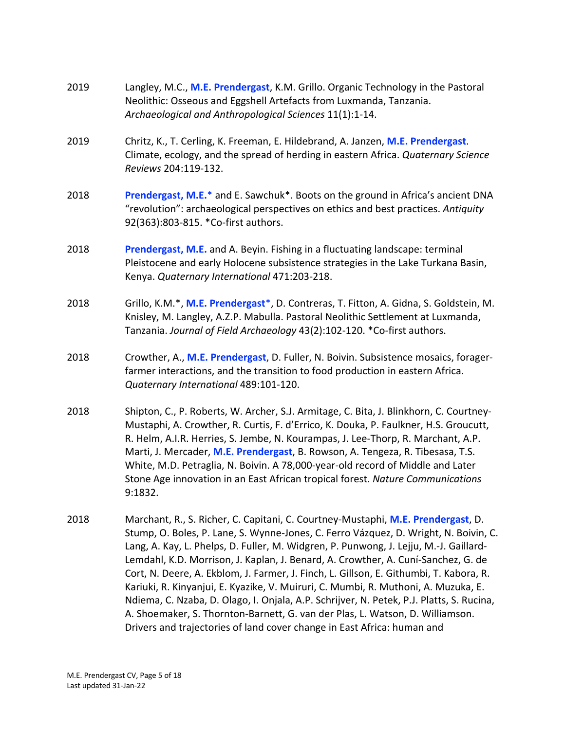| 2019 | Langley, M.C., M.E. Prendergast, K.M. Grillo. Organic Technology in the Pastoral<br>Neolithic: Osseous and Eggshell Artefacts from Luxmanda, Tanzania.<br>Archaeological and Anthropological Sciences 11(1):1-14.                                                                                                                                                                                                                                                                                                                                                                                                                                                                                                                                                                              |
|------|------------------------------------------------------------------------------------------------------------------------------------------------------------------------------------------------------------------------------------------------------------------------------------------------------------------------------------------------------------------------------------------------------------------------------------------------------------------------------------------------------------------------------------------------------------------------------------------------------------------------------------------------------------------------------------------------------------------------------------------------------------------------------------------------|
| 2019 | Chritz, K., T. Cerling, K. Freeman, E. Hildebrand, A. Janzen, M.E. Prendergast.<br>Climate, ecology, and the spread of herding in eastern Africa. Quaternary Science<br>Reviews 204:119-132.                                                                                                                                                                                                                                                                                                                                                                                                                                                                                                                                                                                                   |
| 2018 | Prendergast, M.E.* and E. Sawchuk*. Boots on the ground in Africa's ancient DNA<br>"revolution": archaeological perspectives on ethics and best practices. Antiquity<br>92(363):803-815. *Co-first authors.                                                                                                                                                                                                                                                                                                                                                                                                                                                                                                                                                                                    |
| 2018 | Prendergast, M.E. and A. Beyin. Fishing in a fluctuating landscape: terminal<br>Pleistocene and early Holocene subsistence strategies in the Lake Turkana Basin,<br>Kenya. Quaternary International 471:203-218.                                                                                                                                                                                                                                                                                                                                                                                                                                                                                                                                                                               |
| 2018 | Grillo, K.M.*, M.E. Prendergast*, D. Contreras, T. Fitton, A. Gidna, S. Goldstein, M.<br>Knisley, M. Langley, A.Z.P. Mabulla. Pastoral Neolithic Settlement at Luxmanda,<br>Tanzania. Journal of Field Archaeology 43(2):102-120. *Co-first authors.                                                                                                                                                                                                                                                                                                                                                                                                                                                                                                                                           |
| 2018 | Crowther, A., M.E. Prendergast, D. Fuller, N. Boivin. Subsistence mosaics, forager-<br>farmer interactions, and the transition to food production in eastern Africa.<br>Quaternary International 489:101-120.                                                                                                                                                                                                                                                                                                                                                                                                                                                                                                                                                                                  |
| 2018 | Shipton, C., P. Roberts, W. Archer, S.J. Armitage, C. Bita, J. Blinkhorn, C. Courtney-<br>Mustaphi, A. Crowther, R. Curtis, F. d'Errico, K. Douka, P. Faulkner, H.S. Groucutt,<br>R. Helm, A.I.R. Herries, S. Jembe, N. Kourampas, J. Lee-Thorp, R. Marchant, A.P.<br>Marti, J. Mercader, M.E. Prendergast, B. Rowson, A. Tengeza, R. Tibesasa, T.S.<br>White, M.D. Petraglia, N. Boivin. A 78,000-year-old record of Middle and Later<br>Stone Age innovation in an East African tropical forest. Nature Communications<br>9:1832.                                                                                                                                                                                                                                                            |
| 2018 | Marchant, R., S. Richer, C. Capitani, C. Courtney-Mustaphi, M.E. Prendergast, D.<br>Stump, O. Boles, P. Lane, S. Wynne-Jones, C. Ferro Vázquez, D. Wright, N. Boivin, C.<br>Lang, A. Kay, L. Phelps, D. Fuller, M. Widgren, P. Punwong, J. Lejju, M.-J. Gaillard-<br>Lemdahl, K.D. Morrison, J. Kaplan, J. Benard, A. Crowther, A. Cuní-Sanchez, G. de<br>Cort, N. Deere, A. Ekblom, J. Farmer, J. Finch, L. Gillson, E. Githumbi, T. Kabora, R.<br>Kariuki, R. Kinyanjui, E. Kyazike, V. Muiruri, C. Mumbi, R. Muthoni, A. Muzuka, E.<br>Ndiema, C. Nzaba, D. Olago, I. Onjala, A.P. Schrijver, N. Petek, P.J. Platts, S. Rucina,<br>A. Shoemaker, S. Thornton-Barnett, G. van der Plas, L. Watson, D. Williamson.<br>Drivers and trajectories of land cover change in East Africa: human and |
|      |                                                                                                                                                                                                                                                                                                                                                                                                                                                                                                                                                                                                                                                                                                                                                                                                |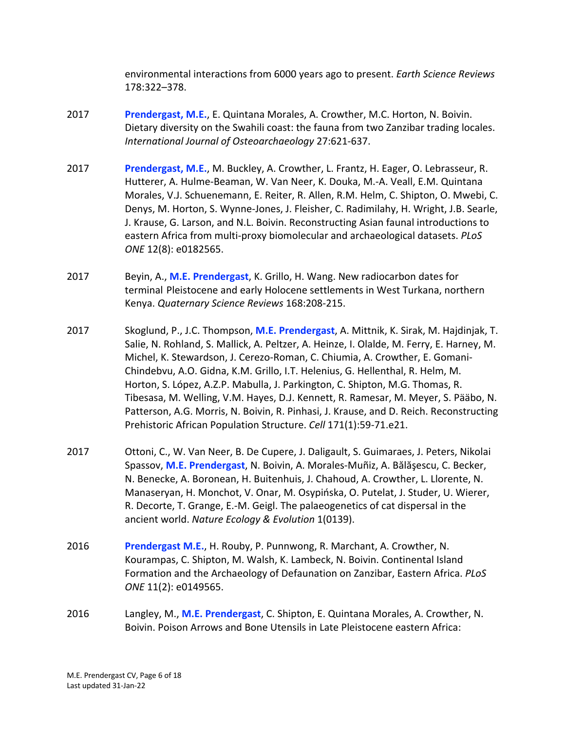environmental interactions from 6000 years ago to present. *Earth Science Reviews*  178:322–378.

- 2017 **Prendergast, M.E.**, E. Quintana Morales, A. Crowther, M.C. Horton, N. Boivin. Dietary diversity on the Swahili coast: the fauna from two Zanzibar trading locales.  *International Journal of Osteoarchaeology* 27:621-637.
- 2017 **Prendergast, M.E.**, M. Buckley, A. Crowther, L. Frantz, H. Eager, O. Lebrasseur, R. Hutterer, A. Hulme-Beaman, W. Van Neer, K. Douka, M.-A. Veall, E.M. Quintana Morales, V.J. Schuenemann, E. Reiter, R. Allen, R.M. Helm, C. Shipton, O. Mwebi, C. Denys, M. Horton, S. Wynne-Jones, J. Fleisher, C. Radimilahy, H. Wright, J.B. Searle, J. Krause, G. Larson, and N.L. Boivin. Reconstructing Asian faunal introductions to eastern Africa from multi-proxy biomolecular and archaeological datasets. *PLoS ONE* 12(8): e0182565.
- 2017 Beyin, A., **M.E. Prendergast**, K. Grillo, H. Wang. New radiocarbon dates for terminal Pleistocene and early Holocene settlements in West Turkana, northern  Kenya. *Quaternary Science Reviews* 168:208-215.
- 2017 Skoglund, P., J.C. Thompson, **M.E. Prendergast**, A. Mittnik, K. Sirak, M. Hajdinjak, T. Salie, N. Rohland, S. Mallick, A. Peltzer, A. Heinze, I. Olalde, M. Ferry, E. Harney, M. Michel, K. Stewardson, J. Cerezo-Roman, C. Chiumia, A. Crowther, E. Gomani- Chindebvu, A.O. Gidna, K.M. Grillo, I.T. Helenius, G. Hellenthal, R. Helm, M. Horton, S. López, A.Z.P. Mabulla, J. Parkington, C. Shipton, M.G. Thomas, R. Tibesasa, M. Welling, V.M. Hayes, D.J. Kennett, R. Ramesar, M. Meyer, S. Pääbo, N. Patterson, A.G. Morris, N. Boivin, R. Pinhasi, J. Krause, and D. Reich. Reconstructing Prehistoric African Population Structure. *Cell* 171(1):59-71.e21.
- 2017 Ottoni, C., W. Van Neer, B. De Cupere, J. Daligault, S. Guimaraes, J. Peters, Nikolai Spassov, **M.E. Prendergast**, N. Boivin, A. Morales-Muñiz, A. Bălăşescu, C. Becker, N. Benecke, A. Boronean, H. Buitenhuis, J. Chahoud, A. Crowther, L. Llorente, N. Manaseryan, H. Monchot, V. Onar, M. Osypińska, O. Putelat, J. Studer, U. Wierer, R. Decorte, T. Grange, E.-M. Geigl. The palaeogenetics of cat dispersal in the  ancient world. *Nature Ecology & Evolution* 1(0139).
- 2016 **Prendergast M.E.**, H. Rouby, P. Punnwong, R. Marchant, A. Crowther, N. Kourampas, C. Shipton, M. Walsh, K. Lambeck, N. Boivin. Continental Island Formation and the Archaeology of Defaunation on Zanzibar, Eastern Africa. *PLoS ONE* 11(2): e0149565.
- 2016 Langley, M., **M.E. Prendergast**, C. Shipton, E. Quintana Morales, A. Crowther, N. Boivin. Poison Arrows and Bone Utensils in Late Pleistocene eastern Africa: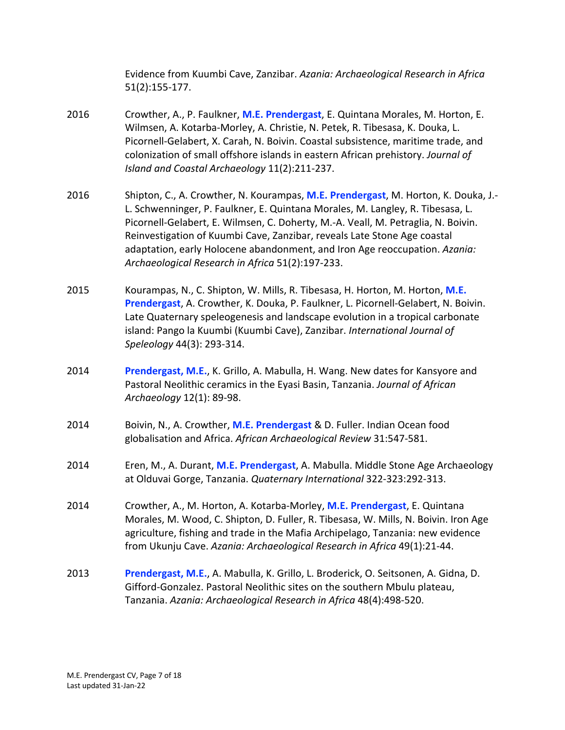Evidence from Kuumbi Cave, Zanzibar. *Azania: Archaeological Research in Africa*  51(2):155-177.

- 2016 Wilmsen, A. Kotarba-Morley, A. Christie, N. Petek, R. Tibesasa, K. Douka, L. Picornell-Gelabert, X. Carah, N. Boivin. Coastal subsistence, maritime trade, and colonization of small offshore islands in eastern African prehistory. *Journal of Island and Coastal Archaeology* 11(2):211-237. 2016 Crowther, A., P. Faulkner, **M.E. Prendergast**, E. Quintana Morales, M. Horton, E.
- 2016 Shipton, C., A. Crowther, N. Kourampas, **M.E. Prendergast**, M. Horton, K. Douka, J.- L. Schwenninger, P. Faulkner, E. Quintana Morales, M. Langley, R. Tibesasa, L. Picornell-Gelabert, E. Wilmsen, C. Doherty, M.-A. Veall, M. Petraglia, N. Boivin. Reinvestigation of Kuumbi Cave, Zanzibar, reveals Late Stone Age coastal adaptation, early Holocene abandonment, and Iron Age reoccupation. *Azania: Archaeological Research in Africa* 51(2):197-233.
- 2015 **Prendergast**, A. Crowther, K. Douka, P. Faulkner, L. Picornell-Gelabert, N. Boivin. Late Quaternary speleogenesis and landscape evolution in a tropical carbonate island: Pango la Kuumbi (Kuumbi Cave), Zanzibar. *International Journal of*  2015 Kourampas, N., C. Shipton, W. Mills, R. Tibesasa, H. Horton, M. Horton, **M.E.**  *Speleology* 44(3): 293-314.
- 2014 Pastoral Neolithic ceramics in the Eyasi Basin, Tanzania. *Journal of African*  **Prendergast, M.E., K. Grillo, A. Mabulla, H. Wang. New dates for Kansyore and** *Archaeology* 12(1): 89-98.
- 2014 globalisation and Africa. *African Archaeological Review* 31:547-581. 2014 Boivin, N., A. Crowther, **M.E. Prendergast** & D. Fuller. Indian Ocean food
- 2014 at Olduvai Gorge, Tanzania. *Quaternary International* 322-323:292-313. 2014 Eren, M., A. Durant, **M.E. Prendergast**, A. Mabulla. Middle Stone Age Archaeology
- 2014 Crowther, A., M. Horton, A. Kotarba-Morley, **M.E. Prendergast**, E. Quintana Morales, M. Wood, C. Shipton, D. Fuller, R. Tibesasa, W. Mills, N. Boivin. Iron Age agriculture, fishing and trade in the Mafia Archipelago, Tanzania: new evidence from Ukunju Cave. *Azania: Archaeological Research in Africa* 49(1):21-44.
- 2013 **Prendergast, M.E.**, A. Mabulla, K. Grillo, L. Broderick, O. Seitsonen, A. Gidna, D. Gifford-Gonzalez. Pastoral Neolithic sites on the southern Mbulu plateau,  Tanzania. *Azania: Archaeological Research in Africa* 48(4):498-520.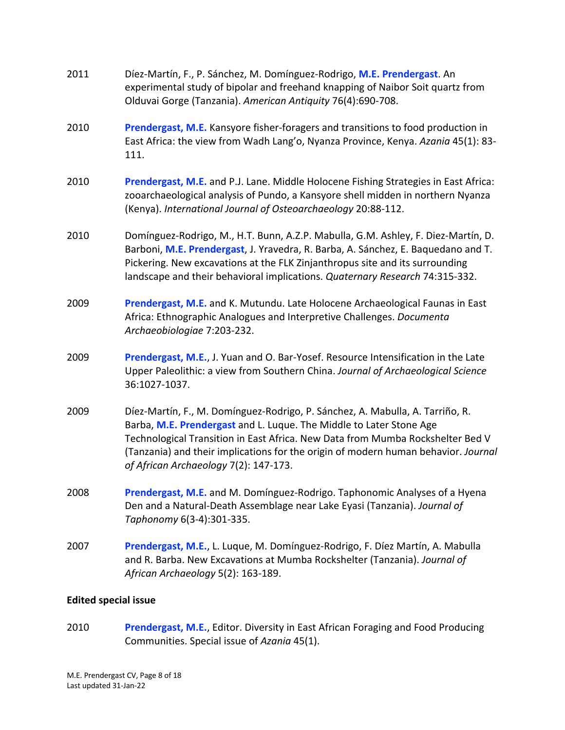| 2011 | Díez-Martín, F., P. Sánchez, M. Domínguez-Rodrigo, M.E. Prendergast. An<br>experimental study of bipolar and freehand knapping of Naibor Soit quartz from<br>Olduvai Gorge (Tanzania). American Antiquity 76(4):690-708.                                                                                                                                              |
|------|-----------------------------------------------------------------------------------------------------------------------------------------------------------------------------------------------------------------------------------------------------------------------------------------------------------------------------------------------------------------------|
| 2010 | Prendergast, M.E. Kansyore fisher-foragers and transitions to food production in<br>East Africa: the view from Wadh Lang'o, Nyanza Province, Kenya. Azania 45(1): 83-<br>111.                                                                                                                                                                                         |
| 2010 | Prendergast, M.E. and P.J. Lane. Middle Holocene Fishing Strategies in East Africa:<br>zooarchaeological analysis of Pundo, a Kansyore shell midden in northern Nyanza<br>(Kenya). International Journal of Osteoarchaeology 20:88-112.                                                                                                                               |
| 2010 | Domínguez-Rodrigo, M., H.T. Bunn, A.Z.P. Mabulla, G.M. Ashley, F. Diez-Martín, D.<br>Barboni, M.E. Prendergast, J. Yravedra, R. Barba, A. Sánchez, E. Baquedano and T.<br>Pickering. New excavations at the FLK Zinjanthropus site and its surrounding<br>landscape and their behavioral implications. Quaternary Research 74:315-332.                                |
| 2009 | Prendergast, M.E. and K. Mutundu. Late Holocene Archaeological Faunas in East<br>Africa: Ethnographic Analogues and Interpretive Challenges. Documenta<br>Archaeobiologiae 7:203-232.                                                                                                                                                                                 |
| 2009 | Prendergast, M.E., J. Yuan and O. Bar-Yosef. Resource Intensification in the Late<br>Upper Paleolithic: a view from Southern China. Journal of Archaeological Science<br>36:1027-1037.                                                                                                                                                                                |
| 2009 | Díez-Martín, F., M. Domínguez-Rodrigo, P. Sánchez, A. Mabulla, A. Tarriño, R.<br>Barba, M.E. Prendergast and L. Luque. The Middle to Later Stone Age<br>Technological Transition in East Africa. New Data from Mumba Rockshelter Bed V<br>(Tanzania) and their implications for the origin of modern human behavior. Journal<br>of African Archaeology 7(2): 147-173. |
| 2008 | Prendergast, M.E. and M. Domínguez-Rodrigo. Taphonomic Analyses of a Hyena<br>Den and a Natural-Death Assemblage near Lake Eyasi (Tanzania). Journal of<br>Taphonomy 6(3-4):301-335.                                                                                                                                                                                  |
| 2007 | Prendergast, M.E., L. Luque, M. Domínguez-Rodrigo, F. Díez Martín, A. Mabulla<br>and R. Barba. New Excavations at Mumba Rockshelter (Tanzania). Journal of<br>African Archaeology 5(2): 163-189.                                                                                                                                                                      |

# **Edited special issue**

 2010 **Prendergast, M.E.**, Editor. Diversity in East African Foraging and Food Producing Communities. Special issue of *Azania* 45(1).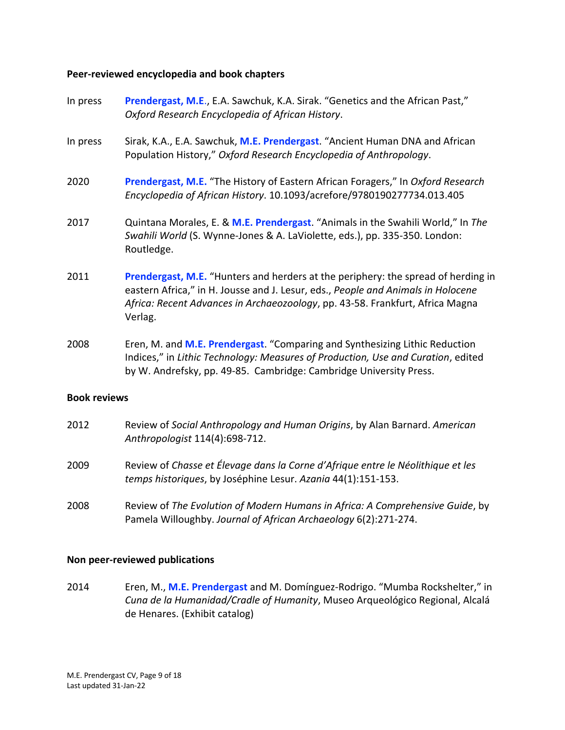# **Peer-reviewed encyclopedia and book chapters**

- In press  *Oxford Research Encyclopedia of African History*. Prendergast, M.E., E.A. Sawchuk, K.A. Sirak. "Genetics and the African Past,"
- In press Population History," *Oxford Research Encyclopedia of Anthropology*. Sirak, K.A., E.A. Sawchuk, M.E. Prendergast. "Ancient Human DNA and African
- 2020 **Prendergast, M.E.** "The History of Eastern African Foragers," In *Oxford Research Encyclopedia of African History*. 10.1093/acrefore/9780190277734.013.405
- 2017 Quintana Morales, E. & **M.E. Prendergast**. "Animals in the Swahili World," In *The Swahili World* (S. Wynne-Jones & A. LaViolette, eds.), pp. 335-350. London: Routledge.
- 2011 eastern Africa," in H. Jousse and J. Lesur, eds., *People and Animals in Holocene Africa: Recent Advances in Archaeozoology*, pp. 43-58. Frankfurt, Africa Magna **Prendergast, M.E.** "Hunters and herders at the periphery: the spread of herding in Verlag.
- 2008 Eren, M. and **M.E. Prendergast**. "Comparing and Synthesizing Lithic Reduction Indices," in *Lithic Technology: Measures of Production, Use and Curation*, edited by W. Andrefsky, pp. 49-85. Cambridge: Cambridge University Press.

### **Book reviews**

- 2012 Review of *Social Anthropology and Human Origins*, by Alan Barnard. *American Anthropologist* 114(4):698-712.
- 2009 Review of *Chasse et Élevage dans la Corne d'Afrique entre le Néolithique et les temps historiques*, by Joséphine Lesur. *Azania* 44(1):151-153.
- 2008 Review of *The Evolution of Modern Humans in Africa: A Comprehensive Guide*, by Pamela Willoughby. *Journal of African Archaeology* 6(2):271-274.

### **Non peer-reviewed publications**

2014  *Cuna de la Humanidad/Cradle of Humanity*, Museo Arqueológico Regional, Alcalá de Henares. (Exhibit catalog) 2014 Eren, M., **M.E. Prendergast** and M. Domínguez-Rodrigo. "Mumba Rockshelter," in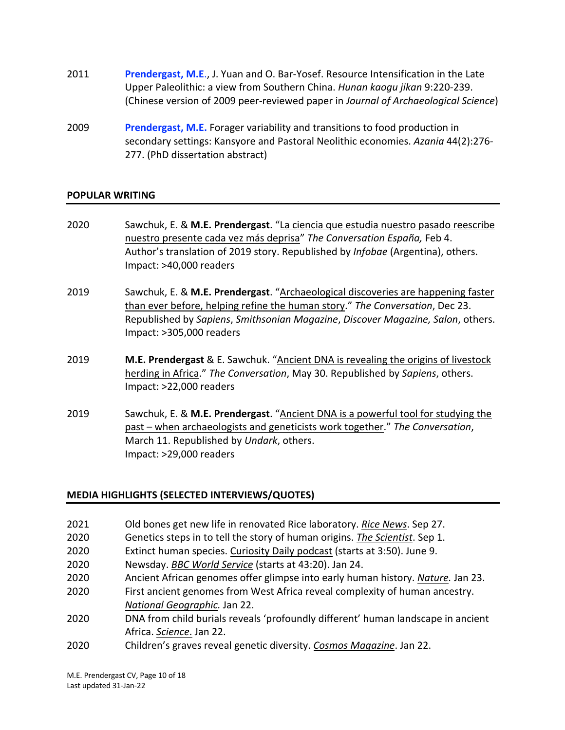- 2011 **Prendergast, M.E**., J. Yuan and O. Bar-Yosef. Resource Intensification in the Late Upper Paleolithic: a view from Southern China. *Hunan kaogu jikan* 9:220-239. (Chinese version of 2009 peer-reviewed paper in *Journal of Archaeological Science*)
- 2009 **Prendergast, M.E.** Forager variability and transitions to food production in secondary settings: Kansyore and Pastoral Neolithic economies. *Azania* 44(2):276- 277. (PhD dissertation abstract)

# **POPULAR WRITING**

- 2020 Sawchuk, E. & **M.E. Prendergast**. "La ciencia que estudia nuestro pasado reescribe nuestro presente cada vez más deprisa" *The Conversation España,* Feb 4. Author's translation of 2019 story. Republished by *Infobae* (Argentina), others. Impact: >40,000 readers
- 2019 than ever before, helping refine the human story." *The Conversation*, Dec 23. Republished by *Sapiens*, *Smithsonian Magazine*, *Discover Magazine, Salon*, others. Impact: >305,000 readers 2019 Sawchuk, E. & **M.E. Prendergast**. "Archaeological discoveries are happening faster
- 2019 **M.E. Prendergast** & E. Sawchuk. "Ancient DNA is revealing the origins of livestock herding in Africa." *The Conversation*, May 30. Republished by *Sapiens*, others. Impact: >22,000 readers
- 2019 Sawchuk, E. & **M.E. Prendergast**. "Ancient DNA is a powerful tool for studying the past – when archaeologists and geneticists work together." *The Conversation*, March 11. Republished by *Undark*, others. Impact: >29,000 readers

# **MEDIA HIGHLIGHTS (SELECTED INTERVIEWS/QUOTES)**

- 2021 2021 Old bones get new life in renovated Rice laboratory. *Rice News*. Sep 27.
- 2020 Genetics steps in to tell the story of human origins. *The Scientist*. Sep 1.
- 2020 **Extinct human species.** Curiosity Daily podcast (starts at 3:50). June 9.
- 2020 Newsday. *BBC World Service* (starts at 43:20). Jan 24.
- 2020 Ancient African genomes offer glimpse into early human history. *Nature.* Jan 23.
- 2020 First ancient genomes from West Africa reveal complexity of human ancestry. *National Geographic.* Jan 22.
- 2020 Africa. *Science*. Jan 22. 2020 DNA from child burials reveals 'profoundly different' human landscape in ancient
- 2020 Children's graves reveal genetic diversity. *Cosmos Magazine*. Jan 22.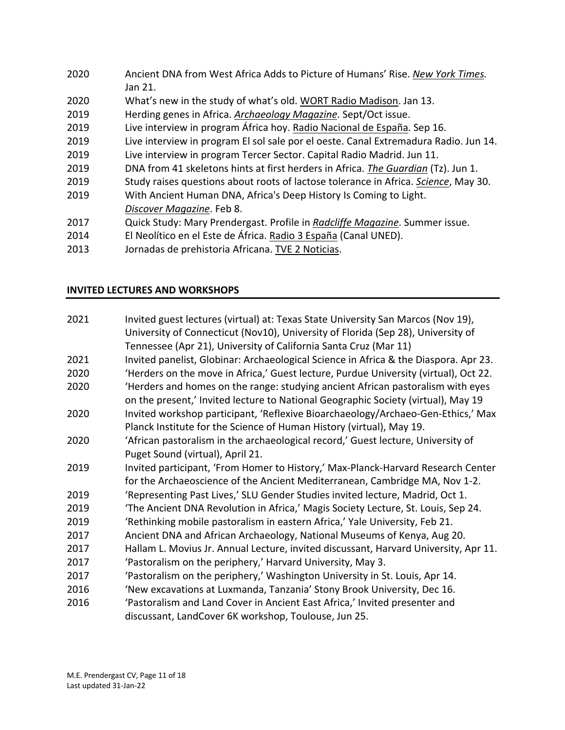| 2020 | Ancient DNA from West Africa Adds to Picture of Humans' Rise. New York Times.        |
|------|--------------------------------------------------------------------------------------|
|      | Jan 21.                                                                              |
| 2020 | What's new in the study of what's old. WORT Radio Madison. Jan 13.                   |
| 2019 | Herding genes in Africa. Archaeology Magazine. Sept/Oct issue.                       |
| 2019 | Live interview in program África hoy. Radio Nacional de España. Sep 16.              |
| 2019 | Live interview in program El sol sale por el oeste. Canal Extremadura Radio. Jun 14. |
| 2019 | Live interview in program Tercer Sector. Capital Radio Madrid. Jun 11.               |
| 2019 | DNA from 41 skeletons hints at first herders in Africa. The Guardian (Tz). Jun 1.    |
| 2019 | Study raises questions about roots of lactose tolerance in Africa. Science, May 30.  |
| 2019 | With Ancient Human DNA, Africa's Deep History Is Coming to Light.                    |
|      | Discover Magazine. Feb 8.                                                            |
| 2017 | Quick Study: Mary Prendergast. Profile in Radcliffe Magazine. Summer issue.          |
| 2014 | El Neolítico en el Este de África. Radio 3 España (Canal UNED).                      |
| 2013 | Jornadas de prehistoria Africana. TVE 2 Noticias.                                    |

# **INVITED LECTURES AND WORKSHOPS**

| 2021 | Invited guest lectures (virtual) at: Texas State University San Marcos (Nov 19),     |
|------|--------------------------------------------------------------------------------------|
|      | University of Connecticut (Nov10), University of Florida (Sep 28), University of     |
|      | Tennessee (Apr 21), University of California Santa Cruz (Mar 11)                     |
| 2021 | Invited panelist, Globinar: Archaeological Science in Africa & the Diaspora. Apr 23. |
| 2020 | 'Herders on the move in Africa,' Guest lecture, Purdue University (virtual), Oct 22. |
| 2020 | 'Herders and homes on the range: studying ancient African pastoralism with eyes      |
|      | on the present,' Invited lecture to National Geographic Society (virtual), May 19    |
| 2020 | Invited workshop participant, 'Reflexive Bioarchaeology/Archaeo-Gen-Ethics,' Max     |
|      | Planck Institute for the Science of Human History (virtual), May 19.                 |
| 2020 | 'African pastoralism in the archaeological record,' Guest lecture, University of     |
|      | Puget Sound (virtual), April 21.                                                     |
| 2019 | Invited participant, 'From Homer to History,' Max-Planck-Harvard Research Center     |
|      | for the Archaeoscience of the Ancient Mediterranean, Cambridge MA, Nov 1-2.          |
| 2019 | 'Representing Past Lives,' SLU Gender Studies invited lecture, Madrid, Oct 1.        |
| 2019 | 'The Ancient DNA Revolution in Africa,' Magis Society Lecture, St. Louis, Sep 24.    |
| 2019 | 'Rethinking mobile pastoralism in eastern Africa,' Yale University, Feb 21.          |
| 2017 | Ancient DNA and African Archaeology, National Museums of Kenya, Aug 20.              |
| 2017 | Hallam L. Movius Jr. Annual Lecture, invited discussant, Harvard University, Apr 11. |
| 2017 | 'Pastoralism on the periphery,' Harvard University, May 3.                           |
| 2017 | 'Pastoralism on the periphery,' Washington University in St. Louis, Apr 14.          |
| 2016 | 'New excavations at Luxmanda, Tanzania' Stony Brook University, Dec 16.              |
| 2016 | 'Pastoralism and Land Cover in Ancient East Africa,' Invited presenter and           |
|      | discussant, LandCover 6K workshop, Toulouse, Jun 25.                                 |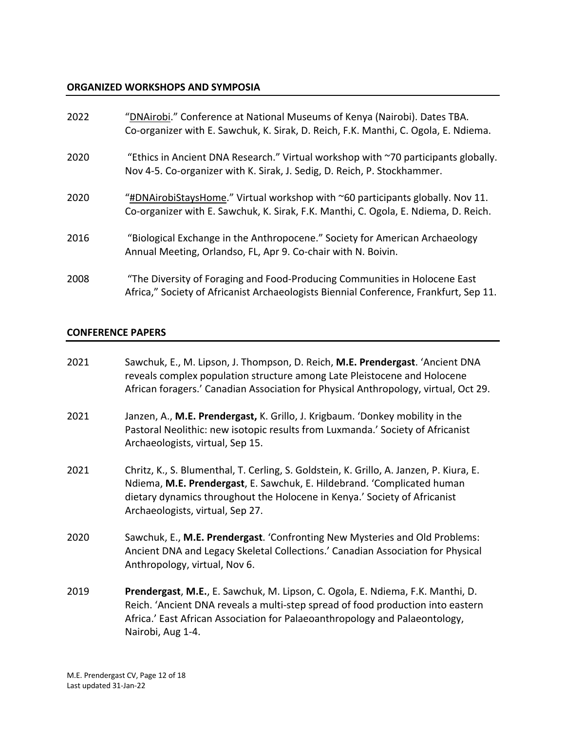# **ORGANIZED WORKSHOPS AND SYMPOSIA**

| 2022 | "DNAirobi." Conference at National Museums of Kenya (Nairobi). Dates TBA.<br>Co-organizer with E. Sawchuk, K. Sirak, D. Reich, F.K. Manthi, C. Ogola, E. Ndiema.            |
|------|-----------------------------------------------------------------------------------------------------------------------------------------------------------------------------|
| 2020 | "Ethics in Ancient DNA Research." Virtual workshop with ~70 participants globally.<br>Nov 4-5. Co-organizer with K. Sirak, J. Sedig, D. Reich, P. Stockhammer.              |
| 2020 | "#DNAirobiStaysHome." Virtual workshop with $\sim$ 60 participants globally. Nov 11.<br>Co-organizer with E. Sawchuk, K. Sirak, F.K. Manthi, C. Ogola, E. Ndiema, D. Reich. |
| 2016 | "Biological Exchange in the Anthropocene." Society for American Archaeology<br>Annual Meeting, Orlandso, FL, Apr 9. Co-chair with N. Boivin.                                |
| 2008 | "The Diversity of Foraging and Food-Producing Communities in Holocene East<br>Africa," Society of Africanist Archaeologists Biennial Conference, Frankfurt, Sep 11.         |

# **CONFERENCE PAPERS**

| 2021 | Sawchuk, E., M. Lipson, J. Thompson, D. Reich, M.E. Prendergast. 'Ancient DNA<br>reveals complex population structure among Late Pleistocene and Holocene<br>African foragers.' Canadian Association for Physical Anthropology, virtual, Oct 29.                                    |
|------|-------------------------------------------------------------------------------------------------------------------------------------------------------------------------------------------------------------------------------------------------------------------------------------|
| 2021 | Janzen, A., M.E. Prendergast, K. Grillo, J. Krigbaum. 'Donkey mobility in the<br>Pastoral Neolithic: new isotopic results from Luxmanda.' Society of Africanist<br>Archaeologists, virtual, Sep 15.                                                                                 |
| 2021 | Chritz, K., S. Blumenthal, T. Cerling, S. Goldstein, K. Grillo, A. Janzen, P. Kiura, E.<br>Ndiema, M.E. Prendergast, E. Sawchuk, E. Hildebrand. 'Complicated human<br>dietary dynamics throughout the Holocene in Kenya.' Society of Africanist<br>Archaeologists, virtual, Sep 27. |
| 2020 | Sawchuk, E., M.E. Prendergast. 'Confronting New Mysteries and Old Problems:<br>Ancient DNA and Legacy Skeletal Collections.' Canadian Association for Physical<br>Anthropology, virtual, Nov 6.                                                                                     |
| 2019 | Prendergast, M.E., E. Sawchuk, M. Lipson, C. Ogola, E. Ndiema, F.K. Manthi, D.<br>Reich. 'Ancient DNA reveals a multi-step spread of food production into eastern<br>Africa.' East African Association for Palaeoanthropology and Palaeontology,<br>Nairobi, Aug 1-4.               |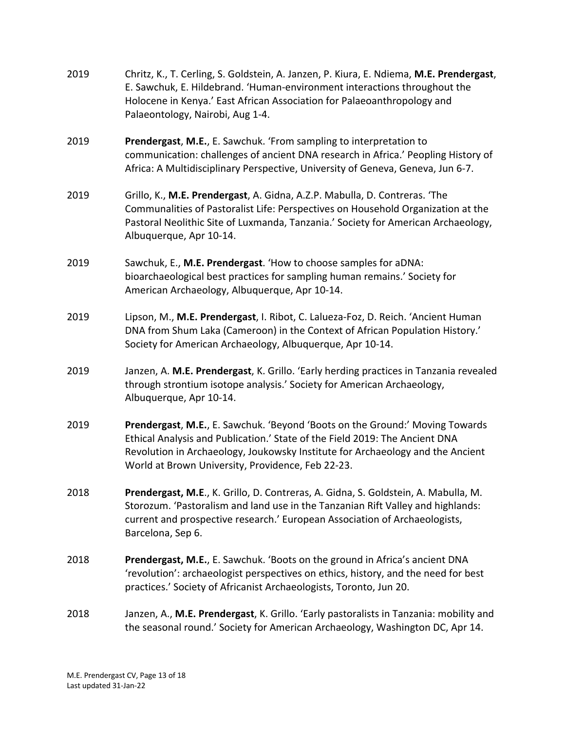- 2019 Chritz, K., T. Cerling, S. Goldstein, A. Janzen, P. Kiura, E. Ndiema, **M.E. Prendergast**, E. Sawchuk, E. Hildebrand. 'Human-environment interactions throughout the Holocene in Kenya.' East African Association for Palaeoanthropology and Palaeontology, Nairobi, Aug 1-4.
- 2019 communication: challenges of ancient DNA research in Africa.' Peopling History of Africa: A Multidisciplinary Perspective, University of Geneva, Geneva, Jun 6-7. Prendergast, M.E., E. Sawchuk. 'From sampling to interpretation to
- 2019 Communalities of Pastoralist Life: Perspectives on Household Organization at the Pastoral Neolithic Site of Luxmanda, Tanzania.' Society for American Archaeology, 2019 Grillo, K., **M.E. Prendergast**, A. Gidna, A.Z.P. Mabulla, D. Contreras. 'The Albuquerque, Apr 10-14.
- 2019 Sawchuk, E., **M.E. Prendergast**. 'How to choose samples for aDNA: bioarchaeological best practices for sampling human remains.' Society for American Archaeology, Albuquerque, Apr 10-14.
- 2019 Lipson, M., **M.E. Prendergast**, I. Ribot, C. Lalueza-Foz, D. Reich. 'Ancient Human DNA from Shum Laka (Cameroon) in the Context of African Population History.' Society for American Archaeology, Albuquerque, Apr 10-14.
- 2019 Janzen, A. **M.E. Prendergast**, K. Grillo. 'Early herding practices in Tanzania revealed through strontium isotope analysis.' Society for American Archaeology, Albuquerque, Apr 10-14.
- 2019 **Prendergast**, **M.E.**, E. Sawchuk. 'Beyond 'Boots on the Ground:' Moving Towards Ethical Analysis and Publication.' State of the Field 2019: The Ancient DNA Revolution in Archaeology, Joukowsky Institute for Archaeology and the Ancient World at Brown University, Providence, Feb 22-23.
- 2018 **Prendergast, M.E**., K. Grillo, D. Contreras, A. Gidna, S. Goldstein, A. Mabulla, M. Storozum. 'Pastoralism and land use in the Tanzanian Rift Valley and highlands: current and prospective research.' European Association of Archaeologists, Barcelona, Sep 6.
- 2018 'revolution': archaeologist perspectives on ethics, history, and the need for best practices.' Society of Africanist Archaeologists, Toronto, Jun 20. **Prendergast, M.E.**, E. Sawchuk. 'Boots on the ground in Africa's ancient DNA
- 2018 Janzen, A., **M.E. Prendergast**, K. Grillo. 'Early pastoralists in Tanzania: mobility and the seasonal round.' Society for American Archaeology, Washington DC, Apr 14.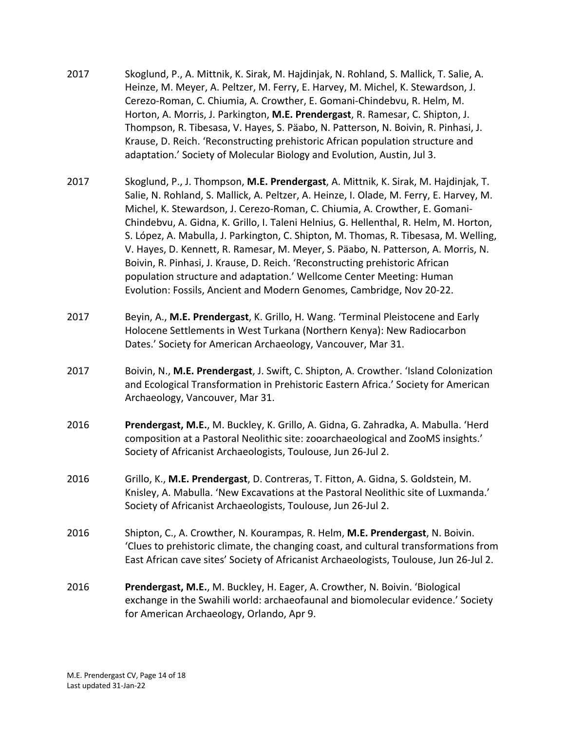- 2017 Skoglund, P., A. Mittnik, K. Sirak, M. Hajdinjak, N. Rohland, S. Mallick, T. Salie, A. Heinze, M. Meyer, A. Peltzer, M. Ferry, E. Harvey, M. Michel, K. Stewardson, J. Cerezo-Roman, C. Chiumia, A. Crowther, E. Gomani-Chindebvu, R. Helm, M. Horton, A. Morris, J. Parkington, **M.E. Prendergast**, R. Ramesar, C. Shipton, J. Thompson, R. Tibesasa, V. Hayes, S. Päabo, N. Patterson, N. Boivin, R. Pinhasi, J. Krause, D. Reich. 'Reconstructing prehistoric African population structure and adaptation.' Society of Molecular Biology and Evolution, Austin, Jul 3.
- 2017 Skoglund, P., J. Thompson, **M.E. Prendergast**, A. Mittnik, K. Sirak, M. Hajdinjak, T. Salie, N. Rohland, S. Mallick, A. Peltzer, A. Heinze, I. Olade, M. Ferry, E. Harvey, M. Michel, K. Stewardson, J. Cerezo-Roman, C. Chiumia, A. Crowther, E. Gomani- Chindebvu, A. Gidna, K. Grillo, I. Taleni Helnius, G. Hellenthal, R. Helm, M. Horton, S. López, A. Mabulla, J. Parkington, C. Shipton, M. Thomas, R. Tibesasa, M. Welling, V. Hayes, D. Kennett, R. Ramesar, M. Meyer, S. Päabo, N. Patterson, A. Morris, N. Boivin, R. Pinhasi, J. Krause, D. Reich. 'Reconstructing prehistoric African population structure and adaptation.' Wellcome Center Meeting: Human Evolution: Fossils, Ancient and Modern Genomes, Cambridge, Nov 20-22.
- 2017 Beyin, A., **M.E. Prendergast**, K. Grillo, H. Wang. 'Terminal Pleistocene and Early Holocene Settlements in West Turkana (Northern Kenya): New Radiocarbon Dates.' Society for American Archaeology, Vancouver, Mar 31.
- 2017 and Ecological Transformation in Prehistoric Eastern Africa.' Society for American Archaeology, Vancouver, Mar 31. 2017 Boivin, N., **M.E. Prendergast**, J. Swift, C. Shipton, A. Crowther. 'Island Colonization
- 2016 **Prendergast, M.E.**, M. Buckley, K. Grillo, A. Gidna, G. Zahradka, A. Mabulla. 'Herd composition at a Pastoral Neolithic site: zooarchaeological and ZooMS insights.' Society of Africanist Archaeologists, Toulouse, Jun 26-Jul 2.
- 2016 Grillo, K., **M.E. Prendergast**, D. Contreras, T. Fitton, A. Gidna, S. Goldstein, M. Knisley, A. Mabulla. 'New Excavations at the Pastoral Neolithic site of Luxmanda.' Society of Africanist Archaeologists, Toulouse, Jun 26-Jul 2.
- 2016 Shipton, C., A. Crowther, N. Kourampas, R. Helm, **M.E. Prendergast**, N. Boivin. 'Clues to prehistoric climate, the changing coast, and cultural transformations from East African cave sites' Society of Africanist Archaeologists, Toulouse, Jun 26-Jul 2.
- 2016 **Prendergast, M.E.**, M. Buckley, H. Eager, A. Crowther, N. Boivin. 'Biological exchange in the Swahili world: archaeofaunal and biomolecular evidence.' Society for American Archaeology, Orlando, Apr 9.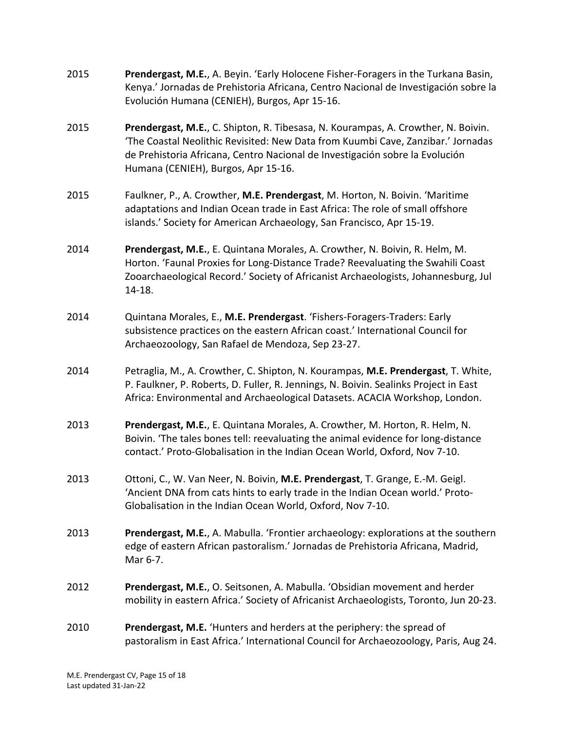- 2015 **Prendergast, M.E.**, A. Beyin. 'Early Holocene Fisher-Foragers in the Turkana Basin, Kenya.' Jornadas de Prehistoria Africana, Centro Nacional de Investigación sobre la Evolución Humana (CENIEH), Burgos, Apr 15-16.
- 2015 **Prendergast, M.E.**, C. Shipton, R. Tibesasa, N. Kourampas, A. Crowther, N. Boivin. 'The Coastal Neolithic Revisited: New Data from Kuumbi Cave, Zanzibar.' Jornadas de Prehistoria Africana, Centro Nacional de Investigación sobre la Evolución Humana (CENIEH), Burgos, Apr 15-16.
- 2015 Faulkner, P., A. Crowther, **M.E. Prendergast**, M. Horton, N. Boivin. 'Maritime adaptations and Indian Ocean trade in East Africa: The role of small offshore islands.' Society for American Archaeology, San Francisco, Apr 15-19.
- 2014 **Prendergast, M.E.**, E. Quintana Morales, A. Crowther, N. Boivin, R. Helm, M. Horton. 'Faunal Proxies for Long-Distance Trade? Reevaluating the Swahili Coast Zooarchaeological Record.' Society of Africanist Archaeologists, Johannesburg, Jul 14-18.
- 2014 Quintana Morales, E., **M.E. Prendergast**. 'Fishers-Foragers-Traders: Early subsistence practices on the eastern African coast.' International Council for Archaeozoology, San Rafael de Mendoza, Sep 23-27.
- 2014 Petraglia, M., A. Crowther, C. Shipton, N. Kourampas, **M.E. Prendergast**, T. White, P. Faulkner, P. Roberts, D. Fuller, R. Jennings, N. Boivin. Sealinks Project in East Africa: Environmental and Archaeological Datasets. ACACIA Workshop, London.
- 2013 **Prendergast, M.E.**, E. Quintana Morales, A. Crowther, M. Horton, R. Helm, N. Boivin. 'The tales bones tell: reevaluating the animal evidence for long-distance contact.' Proto-Globalisation in the Indian Ocean World, Oxford, Nov 7-10.
- 2013 Ottoni, C., W. Van Neer, N. Boivin, **M.E. Prendergast**, T. Grange, E.-M. Geigl. 'Ancient DNA from cats hints to early trade in the Indian Ocean world.' Proto-Globalisation in the Indian Ocean World, Oxford, Nov 7-10.
- 2013 **Prendergast, M.E.**, A. Mabulla. 'Frontier archaeology: explorations at the southern edge of eastern African pastoralism.' Jornadas de Prehistoria Africana, Madrid, Mar 6-7.
- 2012 **Prendergast, M.E.**, O. Seitsonen, A. Mabulla. 'Obsidian movement and herder mobility in eastern Africa.' Society of Africanist Archaeologists, Toronto, Jun 20-23.
- 2010 **Prendergast, M.E.** 'Hunters and herders at the periphery: the spread of pastoralism in East Africa.' International Council for Archaeozoology, Paris, Aug 24.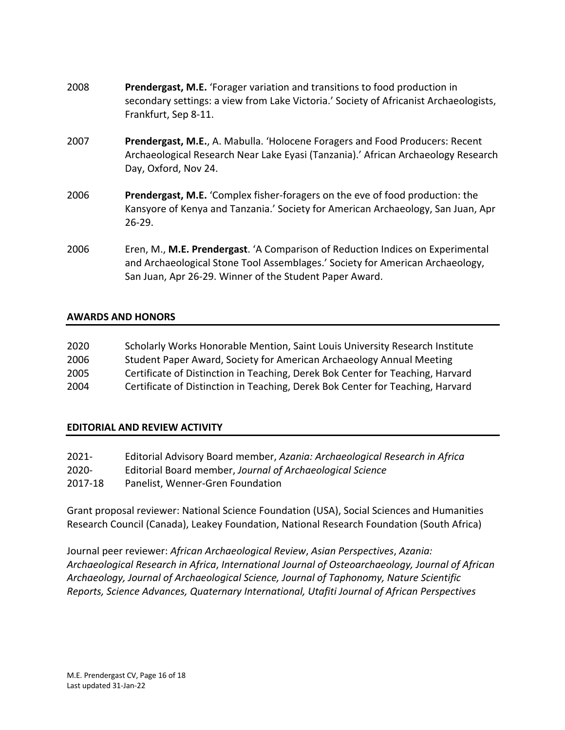- 2008 **Prendergast, M.E.** 'Forager variation and transitions to food production in secondary settings: a view from Lake Victoria.' Society of Africanist Archaeologists, Frankfurt, Sep 8-11.
- 2007 **Prendergast, M.E.**, A. Mabulla. 'Holocene Foragers and Food Producers: Recent Archaeological Research Near Lake Eyasi (Tanzania).' African Archaeology Research Day, Oxford, Nov 24.
- 2006 **Prendergast, M.E.** 'Complex fisher-foragers on the eve of food production: the Kansyore of Kenya and Tanzania.' Society for American Archaeology, San Juan, Apr 26-29.
- and Archaeological Stone Tool Assemblages.' Society for American Archaeology, San Juan, Apr 26-29. Winner of the Student Paper Award. 2006 Eren, M., **M.E. Prendergast**. 'A Comparison of Reduction Indices on Experimental

# **AWARDS AND HONORS**

| 2020 | Scholarly Works Honorable Mention, Saint Louis University Research Institute   |
|------|--------------------------------------------------------------------------------|
| 2006 | Student Paper Award, Society for American Archaeology Annual Meeting           |
| 2005 | Certificate of Distinction in Teaching, Derek Bok Center for Teaching, Harvard |
| 2004 | Certificate of Distinction in Teaching, Derek Bok Center for Teaching, Harvard |

# **EDITORIAL AND REVIEW ACTIVITY**

| 2021-    | Editorial Advisory Board member, Azania: Archaeological Research in Africa |
|----------|----------------------------------------------------------------------------|
| $2020 -$ | Editorial Board member, Journal of Archaeological Science                  |
| 2017-18  | Panelist, Wenner-Gren Foundation                                           |

 Grant proposal reviewer: National Science Foundation (USA), Social Sciences and Humanities Research Council (Canada), Leakey Foundation, National Research Foundation (South Africa)

 *Archaeological Research in Africa*, *International Journal of Osteoarchaeology, Journal of African Archaeology, Journal of Archaeological Science, Journal of Taphonomy, Nature Scientific Reports, Science Advances, Quaternary International, Utafiti Journal of African Perspectives*  Journal peer reviewer: *African Archaeological Review*, *Asian Perspectives*, *Azania:*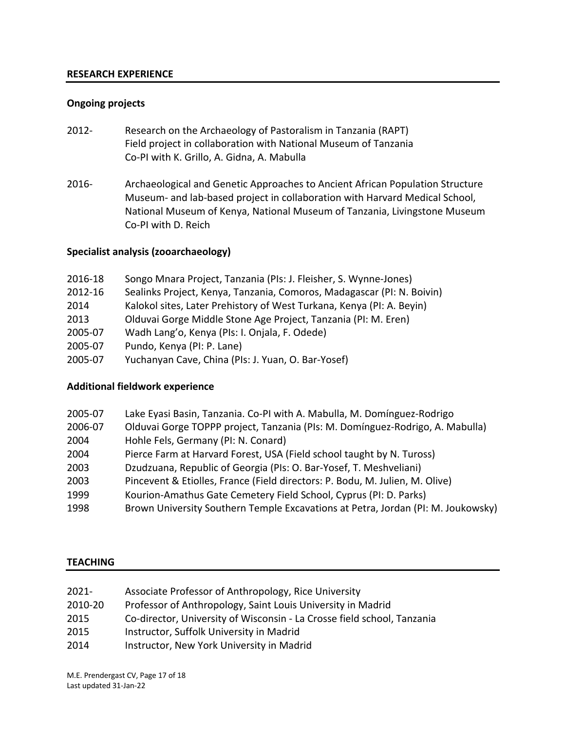### **RESEARCH EXPERIENCE**

### **Ongoing projects**

- 2012- Research on the Archaeology of Pastoralism in Tanzania (RAPT) Field project in collaboration with National Museum of Tanzania Co-PI with K. Grillo, A. Gidna, A. Mabulla
- 2016- Archaeological and Genetic Approaches to Ancient African Population Structure Museum- and lab-based project in collaboration with Harvard Medical School, National Museum of Kenya, National Museum of Tanzania, Livingstone Museum Co-PI with D. Reich

# **Specialist analysis (zooarchaeology)**

| 2016-18 | Songo Mnara Project, Tanzania (PIs: J. Fleisher, S. Wynne-Jones)       |
|---------|------------------------------------------------------------------------|
| 2012-16 | Sealinks Project, Kenya, Tanzania, Comoros, Madagascar (PI: N. Boivin) |
| 2014    | Kalokol sites, Later Prehistory of West Turkana, Kenya (PI: A. Beyin)  |
| 2013    | Olduvai Gorge Middle Stone Age Project, Tanzania (PI: M. Eren)         |
| 2005-07 | Wadh Lang'o, Kenya (PIs: I. Onjala, F. Odede)                          |
| 2005-07 | Pundo, Kenya (PI: P. Lane)                                             |
| 2005-07 | Yuchanyan Cave, China (PIs: J. Yuan, O. Bar-Yosef)                     |

### **Additional fieldwork experience**

| 2005-07 | Lake Eyasi Basin, Tanzania. Co-PI with A. Mabulla, M. Domínguez-Rodrigo          |
|---------|----------------------------------------------------------------------------------|
| 2006-07 | Olduvai Gorge TOPPP project, Tanzania (PIs: M. Domínguez-Rodrigo, A. Mabulla)    |
| 2004    | Hohle Fels, Germany (PI: N. Conard)                                              |
| 2004    | Pierce Farm at Harvard Forest, USA (Field school taught by N. Tuross)            |
| 2003    | Dzudzuana, Republic of Georgia (PIs: O. Bar-Yosef, T. Meshveliani)               |
| 2003    | Pincevent & Etiolles, France (Field directors: P. Bodu, M. Julien, M. Olive)     |
| 1999    | Kourion-Amathus Gate Cemetery Field School, Cyprus (PI: D. Parks)                |
| 1998    | Brown University Southern Temple Excavations at Petra, Jordan (PI: M. Joukowsky) |

### **TEACHING**

| 2021- | Associate Professor of Anthropology, Rice University |
|-------|------------------------------------------------------|

- 2010-20 Professor of Anthropology, Saint Louis University in Madrid
- 2015 Co-director, University of Wisconsin La Crosse field school, Tanzania
- 2015 Instructor, Suffolk University in Madrid
- 2014 Instructor, New York University in Madrid